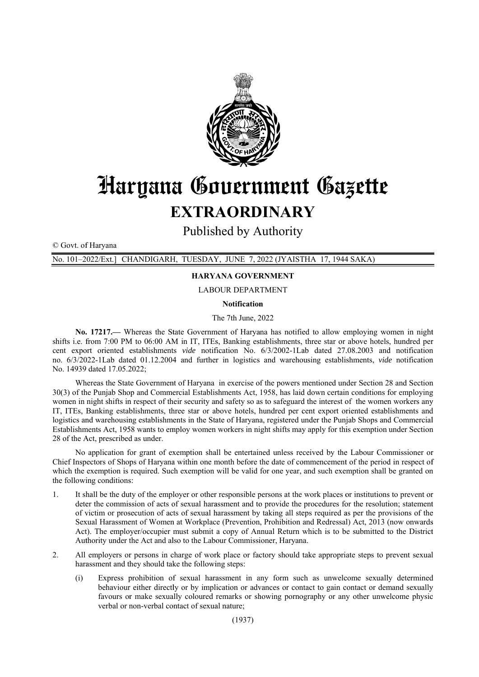

## Haryana Gouernment Gazette

## **EXTRAORDINARY**

Published by Authority

© Govt. of Haryana

No. 101-2022/Ext.] CHANDIGARH, TUESDAY, JUNE 7, 2022 (JYAISTHA 17, 1944 SAKA)

## **HARYANA GOVERNMENT**

**LABOUR DEPARTMENT** 

**Notification** 

The 7th June, 2022

No. 17217.— Whereas the State Government of Harvana has notified to allow employing women in night shifts i.e. from 7:00 PM to 06:00 AM in IT, ITEs, Banking establishments, three star or above hotels, hundred per cent export oriented establishments vide notification No. 6/3/2002-1Lab dated 27.08.2003 and notification no. 6/3/2022-1Lab dated 01.12.2004 and further in logistics and warehousing establishments, vide notification No. 14939 dated 17.05.2022;

Whereas the State Government of Harvana in exercise of the powers mentioned under Section 28 and Section 30(3) of the Punjab Shop and Commercial Establishments Act, 1958, has laid down certain conditions for employing women in night shifts in respect of their security and safety so as to safeguard the interest of the women workers any IT, ITEs, Banking establishments, three star or above hotels, hundred per cent export oriented establishments and logistics and warehousing establishments in the State of Haryana, registered under the Punjab Shops and Commercial Establishments Act, 1958 wants to employ women workers in night shifts may apply for this exemption under Section 28 of the Act, prescribed as under.

No application for grant of exemption shall be entertained unless received by the Labour Commissioner or Chief Inspectors of Shops of Haryana within one month before the date of commencement of the period in respect of which the exemption is required. Such exemption will be valid for one year, and such exemption shall be granted on the following conditions:

- 1. It shall be the duty of the employer or other responsible persons at the work places or institutions to prevent or deter the commission of acts of sexual harassment and to provide the procedures for the resolution; statement of victim or prosecution of acts of sexual harassment by taking all steps required as per the provisions of the Sexual Harassment of Women at Workplace (Prevention, Prohibition and Redressal) Act, 2013 (now onwards Act). The employer/occupier must submit a copy of Annual Return which is to be submitted to the District Authority under the Act and also to the Labour Commissioner, Haryana.
- 2. All employers or persons in charge of work place or factory should take appropriate steps to prevent sexual harassment and they should take the following steps:
	- $(i)$ Express prohibition of sexual harassment in any form such as unwelcome sexually determined behaviour either directly or by implication or advances or contact to gain contact or demand sexually favours or make sexually coloured remarks or showing pornography or any other unwelcome physic verbal or non-verbal contact of sexual nature: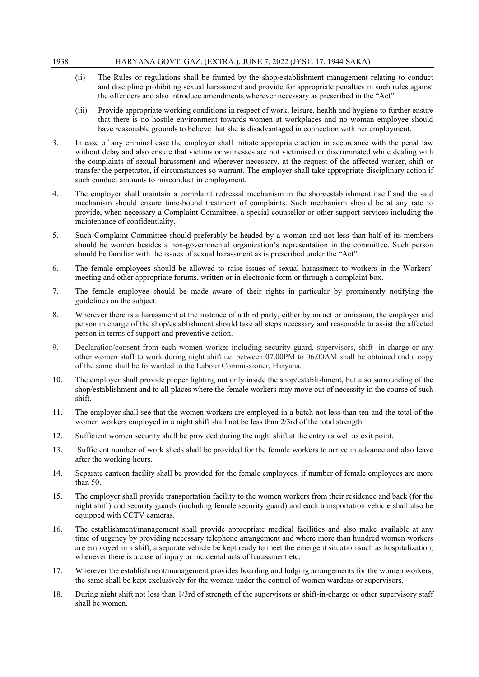- (ii) The Rules or regulations shall be framed by the shop/establishment management relating to conduct and discipline prohibiting sexual harassment and provide for appropriate penalties in such rules against the offenders and also introduce amendments wherever necessary as prescribed in the "Act".
- (iii) Provide appropriate working conditions in respect of work, leisure, health and hygiene to further ensure that there is no hostile environment towards women at workplaces and no woman employee should have reasonable grounds to believe that she is disadvantaged in connection with her employment.
- 3. In case of any criminal case the employer shall initiate appropriate action in accordance with the penal law without delay and also ensure that victims or witnesses are not victimised or discriminated while dealing with the complaints of sexual harassment and wherever necessary, at the request of the affected worker, shift or transfer the perpetrator, if circumstances so warrant. The employer shall take appropriate disciplinary action if such conduct amounts to misconduct in employment.
- 4. The employer shall maintain a complaint redressal mechanism in the shop/establishment itself and the said mechanism should ensure time-bound treatment of complaints. Such mechanism should be at any rate to provide, when necessary a Complaint Committee, a special counsellor or other support services including the maintenance of confidentiality.
- 5. Such Complaint Committee should preferably be headed by a woman and not less than half of its members should be women besides a non-governmental organization's representation in the committee. Such person should be familiar with the issues of sexual harassment as is prescribed under the "Act".
- 6. The female employees should be allowed to raise issues of sexual harassment to workers in the Workers' meeting and other appropriate forums, written or in electronic form or through a complaint box.
- 7. The female employee should be made aware of their rights in particular by prominently notifying the guidelines on the subject.
- 8. Wherever there is a harassment at the instance of a third party, either by an act or omission, the employer and person in charge of the shop/establishment should take all steps necessary and reasonable to assist the affected person in terms of support and preventive action.
- 9. Declaration/consent from each women worker including security guard, supervisors, shift- in-charge or any other women staff to work during night shift i.e. between 07.00PM to 06.00AM shall be obtained and a copy of the same shall be forwarded to the Labour Commissioner, Haryana.
- 10. The employer shall provide proper lighting not only inside the shop/establishment, but also surrounding of the shop/establishment and to all places where the female workers may move out of necessity in the course of such shift.
- 11. The employer shall see that the women workers are employed in a batch not less than ten and the total of the women workers employed in a night shift shall not be less than 2/3rd of the total strength.
- 12. Sufficient women security shall be provided during the night shift at the entry as well as exit point.
- 13. Sufficient number of work sheds shall be provided for the female workers to arrive in advance and also leave after the working hours.
- 14. Separate canteen facility shall be provided for the female employees, if number of female employees are more than 50.
- 15. The employer shall provide transportation facility to the women workers from their residence and back (for the night shift) and security guards (including female security guard) and each transportation vehicle shall also be equipped with CCTV cameras.
- 16. The establishment/management shall provide appropriate medical facilities and also make available at any time of urgency by providing necessary telephone arrangement and where more than hundred women workers are employed in a shift, a separate vehicle be kept ready to meet the emergent situation such as hospitalization, whenever there is a case of injury or incidental acts of harassment etc.
- 17. Wherever the establishment/management provides boarding and lodging arrangements for the women workers, the same shall be kept exclusively for the women under the control of women wardens or supervisors.
- 18. During night shift not less than 1/3rd of strength of the supervisors or shift-in-charge or other supervisory staff shall be women.